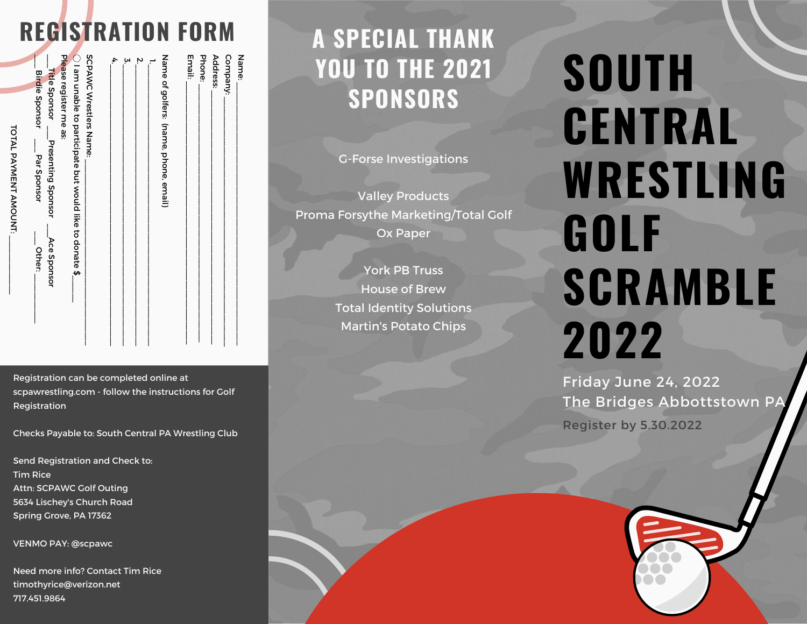## **REGISTRATION FORM**

Name:<br>Compa<br>Addres:<br>Email:

Address:

Company:

\_\_\_\_\_\_\_\_\_\_\_\_\_\_\_\_\_\_\_\_\_\_\_\_\_\_\_\_\_\_\_\_\_\_\_\_\_\_\_\_\_\_\_\_\_\_\_\_\_\_\_\_\_\_\_\_\_\_

\_\_\_\_\_\_\_\_\_\_\_\_\_\_\_\_\_\_\_\_\_\_\_\_\_\_\_\_\_\_\_\_\_\_\_\_\_\_\_\_\_\_\_\_\_\_\_\_\_\_\_\_\_\_\_

\_\_\_\_\_\_\_\_\_\_\_\_\_\_\_\_\_\_\_\_\_\_\_\_\_\_\_\_\_\_\_\_\_\_\_\_\_\_\_\_\_\_\_\_\_\_\_\_\_\_\_\_\_\_\_\_ \_\_\_\_\_\_\_\_\_\_\_\_\_\_\_\_\_\_\_\_\_\_\_\_\_\_\_\_\_\_\_\_\_\_\_\_\_\_\_\_\_\_\_\_\_\_\_\_\_\_\_\_\_\_\_\_\_ \_\_\_\_\_\_\_\_\_\_\_\_\_\_\_\_\_\_\_\_\_\_\_\_\_\_\_\_\_\_\_\_\_\_\_\_\_\_\_\_\_\_\_\_\_\_\_\_\_\_\_\_\_\_\_\_\_\_

TOTAL

PAYNENT AROCIAT:

 $\overline{\phantom{a}}$ 

Registration can be completed online at scpawrestling.com - follow the instructions for Golf Registration

Checks Payable to: South Central PA Wrestling Club

Send Registration and Check to: Tim Rice Attn: SCPAWC Golf Outing 5634 Lischey's Church Road Spring Grove, PA 17362

VENMO PAY: @scpawc

Need more info? Contact Tim Rice timothyrice@verizon.net 717.451.9864

## **A SPECIAL THANK YOU TO THE 2021 SPONSORS**

G-Forse Investigations

Valley Products Proma Forsythe Marketing/Total Golf Ox Paper

> York PB Truss House of Brew Total Identity Solutions Martin's Potato Chips

# **SOUTH CENTRAL WRESTLING GOLF SCRAMBLE 2022**

Friday June 24, 2022 The Bridges Abbottstown PA Register by 5.30.2022